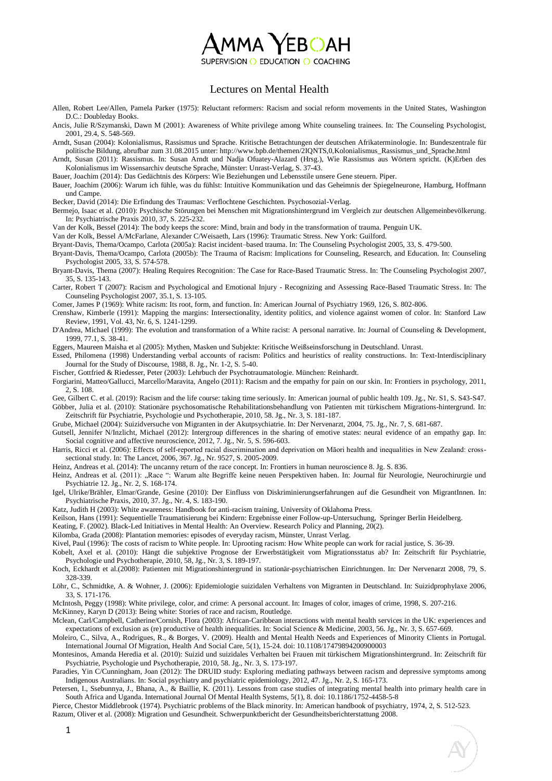## $100 \ \mathrm{YEBO}$ AH

SUPERVISION O EDUCATION O COACHING

## Lectures on Mental Health

Allen, Robert Lee/Allen, Pamela Parker (1975): Reluctant reformers: Racism and social reform movements in the United States, Washington D.C.: Doubleday Books.

Ancis, Julie R/Szymanski, Dawn M (2001): Awareness of White privilege among White counseling trainees. In: The Counseling Psychologist, 2001, 29.4, S. 548-569.

Arndt, Susan (2004): Kolonialismus, Rassismus und Sprache. Kritische Betrachtungen der deutschen Afrikaterminologie. In: Bundeszentrale für politische Bildung, abrufbar zum 31.08.2015 unter: http://www.bpb.de/themen/2IQNTS,0,Kolonialismus\_Rassismus\_und\_Sprache.html

Arndt, Susan (2011): Rassismus. In: Susan Arndt und Nadja Ofuatey-Alazard (Hrsg.), Wie Rassismus aus Wörtern spricht. (K)Erben des Kolonialismus im Wissensarchiv deutsche Sprache, Münster: Unrast-Verlag, S. 37-43.

Bauer, Joachim (2014): Das Gedächtnis des Körpers: Wie Beziehungen und Lebensstile unsere Gene steuern. Piper.

Bauer, Joachim (2006): Warum ich fühle, was du fühlst: Intuitive Kommunikation und das Geheimnis der Spiegelneurone, Hamburg, Hoffmann und Campe.

Becker, David (2014): Die Erfindung des Traumas: Verflochtene Geschichten. Psychosozial-Verlag.

Bermejo, Isaac et al. (2010): Psychische Störungen bei Menschen mit Migrationshintergrund im Vergleich zur deutschen Allgemeinbevölkerung. In: Psychiatrische Praxis 2010, 37, S. 225-232.

Van der Kolk, Bessel (2014): The body keeps the score: Mind, brain and body in the transformation of trauma. Penguin UK.

Van der Kolk, Bessel A/McFarlane, Alexander C/Weisaeth, Lars (1996): Traumatic Stress. New York: Guilford.

Bryant-Davis, Thema/Ocampo, Carlota (2005a): Racist incident–based trauma. In: The Counseling Psychologist 2005, 33, S. 479-500.

Bryant-Davis, Thema/Ocampo, Carlota (2005b): The Trauma of Racism: Implications for Counseling, Research, and Education. In: Counseling Psychologist 2005, 33, S. 574-578.

Bryant-Davis, Thema (2007): Healing Requires Recognition: The Case for Race-Based Traumatic Stress. In: The Counseling Psychologist 2007, 35, S. 135-143.

Carter, Robert T (2007): Racism and Psychological and Emotional Injury - Recognizing and Assessing Race-Based Traumatic Stress. In: The Counseling Psychologist 2007, 35.1, S. 13-105.

Comer, James P (1969): White racism: Its root, form, and function. In: American Journal of Psychiatry 1969, 126, S. 802-806.

Crenshaw, Kimberle (1991): Mapping the margins: Intersectionality, identity politics, and violence against women of color. In: Stanford Law Review, 1991, Vol. 43, Nr. 6, S. 1241-1299.

D'Andrea, Michael (1999): The evolution and transformation of a White racist: A personal narrative. In: Journal of Counseling & Development, 1999, 77.1, S. 38-41.

Eggers, Maureen Maisha et al (2005): Mythen, Masken und Subjekte: Kritische Weißseinsforschung in Deutschland. Unrast.

Essed, Philomena (1998) Understanding verbal accounts of racism: Politics and heuristics of reality constructions. In: Text-Interdisciplinary Journal for the Study of Discourse, 1988, 8. Jg., Nr. 1-2, S. 5-40.

Fischer, Gottfried & Riedesser, Peter (2003): Lehrbuch der Psychotraumatologie. München: Reinhardt.

Forgiarini, Matteo/Gallucci, Marcello/Maravita, Angelo (2011): Racism and the empathy for pain on our skin. In: Frontiers in psychology, 2011, 2, S. 108.

Gee, Gilbert C. et al. (2019): Racism and the life course: taking time seriously. In: American journal of public health 109. Jg., Nr. S1, S. S43-S47.

Göbber, Julia et al. (2010): Stationäre psychosomatische Rehabilitationsbehandlung von Patienten mit türkischem Migrations-hintergrund. In: Zeitschrift für Psychiatrie, Psychologie und Psychotherapie, 2010, 58. Jg., Nr. 3, S. 181-187.

Grube, Michael (2004): Suizidversuche von Migranten in der Akutpsychiatrie. In: Der Nervenarzt, 2004, 75. Jg., Nr. 7, S. 681-687.

Gutsell, Jennifer N/Inzlicht, Michael (2012): Intergroup differences in the sharing of emotive states: neural evidence of an empathy gap. In: Social cognitive and affective neuroscience, 2012, 7. Jg., Nr. 5, S. 596-603.

Harris, Ricci et al. (2006): Effects of self-reported racial discrimination and deprivation on Māori health and inequalities in New Zealand: crosssectional study. In: The Lancet, 2006, 367. Jg., Nr. 9527, S. 2005-2009.

Heinz, Andreas et al. (2014): The uncanny return of the race concept. In: Frontiers in human neuroscience 8. Jg. S. 836.

Heinz, Andreas et al. (2011): "Race ": Warum alte Begriffe keine neuen Perspektiven haben. In: Journal für Neurologie, Neurochirurgie und Psychiatrie 12. Jg., Nr. 2, S. 168-174.

Igel, Ulrike/Brähler, Elmar/Grande, Gesine (2010): Der Einfluss von Diskriminierungserfahrungen auf die Gesundheit von MigrantInnen. In: Psychiatrische Praxis, 2010, 37. Jg., Nr. 4, S. 183-190.

Katz, Judith H (2003): White awareness: Handbook for anti-racism training, University of Oklahoma Press.

Keilson, Hans (1991): Sequentielle Traumatisierung bei Kindern: Ergebnisse einer Follow-up-Untersuchung, Springer Berlin Heidelberg.

Keating, F. (2002). Black-Led Initiatives in Mental Health: An Overview. Research Policy and Planning, 20(2).

Kilomba, Grada (2008): Plantation memories: episodes of everyday racism, Münster, Unrast Verlag.

Kivel, Paul (1996): The costs of racism to White people. In: Uprooting racism: How White people can work for racial justice, S. 36-39.

Kobelt, Axel et al. (2010): Hängt die subjektive Prognose der Erwerbstätigkeit vom Migrationsstatus ab? In: Zeitschrift für Psychiatrie, Psychologie und Psychotherapie, 2010, 58, Jg., Nr. 3, S. 189-197.

Koch, Eckhardt et al.(2008): Patienten mit Migrationshintergrund in stationär-psychiatrischen Einrichtungen. In: Der Nervenarzt 2008, 79, S. 328-339.

Löhr, C., Schmidtke, A. & Wohner, J. (2006): Epidemiologie suizidalen Verhaltens von Migranten in Deutschland. In: Suizidprophylaxe 2006, 33, S. 171-176.

McIntosh, Peggy (1998): White privilege, color, and crime: A personal account. In: Images of color, images of crime, 1998, S. 207-216.

McKinney, Karyn D (2013): Being white: Stories of race and racism, Routledge.

Mclean, Carl/Campbell, Catherine/Cornish, Flora (2003): African-Caribbean interactions with mental health services in the UK: experiences and expectations of exclusion as (re) productive of health inequalities. In: Social Science & Medicine, 2003, 56. Jg., Nr. 3, S. 657-669.

Moleiro, C., Silva, A., Rodrigues, R., & Borges, V. (2009). Health and Mental Health Needs and Experiences of Minority Clients in Portugal. International Journal Of Migration, Health And Social Care, 5(1), 15-24. doi: 10.1108/17479894200900003

Montesinos, Amanda Heredia et al. (2010): Suizid und suizidales Verhalten bei Frauen mit türkischem Migrationshintergrund. In: Zeitschrift für Psychiatrie, Psychologie und Psychotherapie, 2010, 58. Jg., Nr. 3, S. 173-197.

Paradies, Yin C/Cunningham, Joan (2012): The DRUID study: Exploring mediating pathways between racism and depressive symptoms among Indigenous Australians. In: Social psychiatry and psychiatric epidemiology, 2012, 47. Jg., Nr. 2, S. 165-173.

Petersen, I., Ssebunnya, J., Bhana, A., & Baillie, K. (2011). Lessons from case studies of integrating mental health into primary health care in South Africa and Uganda. International Journal Of Mental Health Systems, 5(1), 8. doi: 10.1186/1752-4458-5-8

Pierce, Chestor Middlebrook (1974). Psychiatric problems of the Black minority. In: American handbook of psychiatry, 1974, 2, S. 512-523.